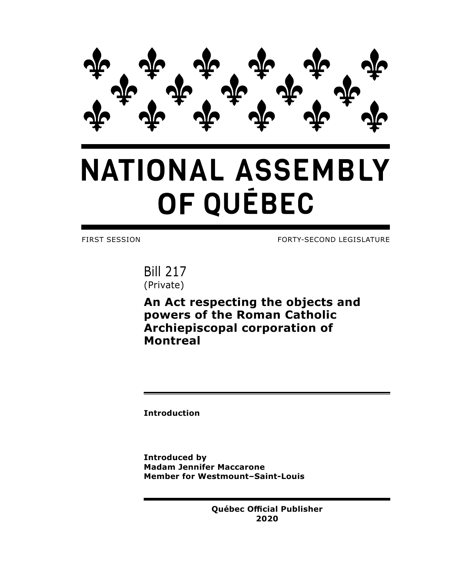

## **NATIONAL ASSEMBLY** OF QUÉBEC

FIRST SESSION FORTY-SECOND LEGISLATURE

Bill 217 (Private)

**An Act respecting the objects and powers of the Roman Catholic Archiepiscopal corporation of Montreal**

**Introduction**

**Introduced by Madam Jennifer Maccarone Member for Westmount–Saint-Louis**

> **Québec Official Publisher 2020**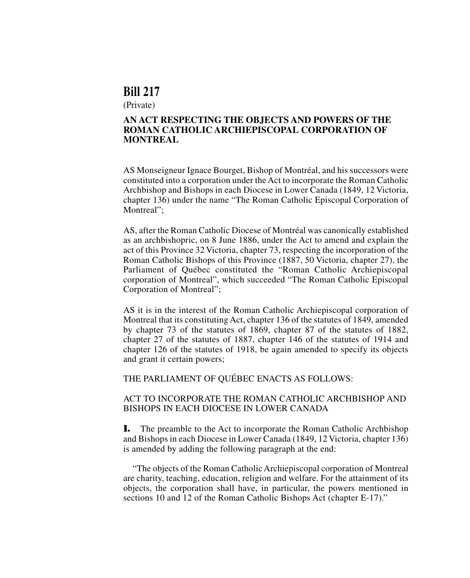## **Bill 217**

(Private)

## **AN ACT RESPECTING THE OBJECTS AND POWERS OF THE ROMAN CATHOLIC ARCHIEPISCOPAL CORPORATION OF MONTREAL**

AS Monseigneur Ignace Bourget, Bishop of Montréal, and his successors were constituted into a corporation under the Act to incorporate the Roman Catholic Archbishop and Bishops in each Diocese in Lower Canada (1849, 12 Victoria, chapter 136) under the name "The Roman Catholic Episcopal Corporation of Montreal":

AS, after the Roman Catholic Diocese of Montréal was canonically established as an archbishopric, on 8 June 1886, under the Act to amend and explain the act of this Province 32 Victoria, chapter 73, respecting the incorporation of the Roman Catholic Bishops of this Province (1887, 50 Victoria, chapter 27), the Parliament of Québec constituted the "Roman Catholic Archiepiscopal corporation of Montreal", which succeeded "The Roman Catholic Episcopal Corporation of Montreal";

AS it is in the interest of the Roman Catholic Archiepiscopal corporation of Montreal that its constituting Act, chapter 136 of the statutes of 1849, amended by chapter 73 of the statutes of 1869, chapter 87 of the statutes of 1882, chapter 27 of the statutes of 1887, chapter 146 of the statutes of 1914 and chapter 126 of the statutes of 1918, be again amended to specify its objects and grant it certain powers;

THE PARLIAMENT OF QUÉBEC ENACTS AS FOLLOWS:

## ACT TO INCORPORATE THE ROMAN CATHOLIC ARCHBISHOP AND BISHOPS IN EACH DIOCESE IN LOWER CANADA

**1.** The preamble to the Act to incorporate the Roman Catholic Archbishop and Bishops in each Diocese in Lower Canada (1849, 12 Victoria, chapter 136) is amended by adding the following paragraph at the end:

"The objects of the Roman Catholic Archiepiscopal corporation of Montreal are charity, teaching, education, religion and welfare. For the attainment of its objects, the corporation shall have, in particular, the powers mentioned in sections 10 and 12 of the Roman Catholic Bishops Act (chapter E-17)."